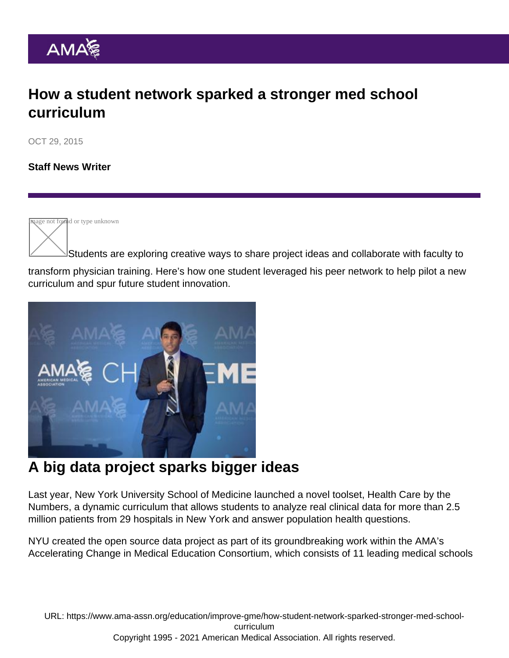## How a student network sparked a stronger med school curriculum

OCT 29, 2015

[Staff News Writer](https://www.ama-assn.org/news-leadership-viewpoints/authors-news-leadership-viewpoints/staff-news-writer)

**Reage not found or type unknown** 

Students are exploring creative ways to share project ideas and collaborate with faculty to transform physician training. Here's how one student leveraged his peer network to help pilot a new curriculum and spur future student innovation.

## A big data project sparks bigger ideas

Last year, New York University School of Medicine launched a novel toolset, [Health Care by the](http://education.med.nyu.edu/ace/curriculum/) [Numbers,](http://education.med.nyu.edu/ace/curriculum/) a dynamic curriculum that allows students to analyze real clinical data for more than 2.5 million patients from 29 hospitals in New York and answer population health questions.

NYU created the open source data project as part of its groundbreaking work within the [AMA's](http://www.ama-assn.org/ama/pub/about-ama/strategic-focus/accelerating-change-in-medical-education/schools.page) [Accelerating Change in Medical Education Consortium](http://www.ama-assn.org/ama/pub/about-ama/strategic-focus/accelerating-change-in-medical-education/schools.page), which consists of 11 leading medical schools

URL: [https://www.ama-assn.org/education/improve-gme/how-student-network-sparked-stronger-med-school](https://www.ama-assn.org/education/improve-gme/how-student-network-sparked-stronger-med-school-curriculum)[curriculum](https://www.ama-assn.org/education/improve-gme/how-student-network-sparked-stronger-med-school-curriculum) Copyright 1995 - 2021 American Medical Association. All rights reserved.